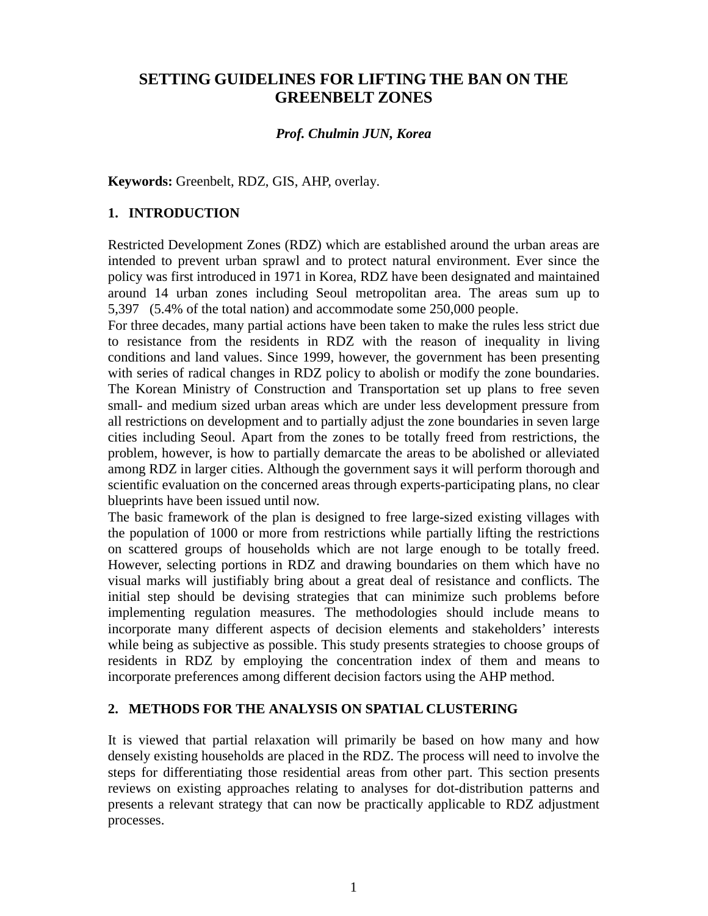# **SETTING GUIDELINES FOR LIFTING THE BAN ON THE GREENBELT ZONES**

# *Prof. Chulmin JUN, Korea*

**Keywords:** Greenbelt, RDZ, GIS, AHP, overlay.

# **1. INTRODUCTION**

Restricted Development Zones (RDZ) which are established around the urban areas are intended to prevent urban sprawl and to protect natural environment. Ever since the policy was first introduced in 1971 in Korea, RDZ have been designated and maintained around 14 urban zones including Seoul metropolitan area. The areas sum up to 5,397 (5.4% of the total nation) and accommodate some 250,000 people.

For three decades, many partial actions have been taken to make the rules less strict due to resistance from the residents in RDZ with the reason of inequality in living conditions and land values. Since 1999, however, the government has been presenting with series of radical changes in RDZ policy to abolish or modify the zone boundaries. The Korean Ministry of Construction and Transportation set up plans to free seven small- and medium sized urban areas which are under less development pressure from all restrictions on development and to partially adjust the zone boundaries in seven large cities including Seoul. Apart from the zones to be totally freed from restrictions, the problem, however, is how to partially demarcate the areas to be abolished or alleviated among RDZ in larger cities. Although the government says it will perform thorough and scientific evaluation on the concerned areas through experts-participating plans, no clear blueprints have been issued until now.

The basic framework of the plan is designed to free large-sized existing villages with the population of 1000 or more from restrictions while partially lifting the restrictions on scattered groups of households which are not large enough to be totally freed. However, selecting portions in RDZ and drawing boundaries on them which have no visual marks will justifiably bring about a great deal of resistance and conflicts. The initial step should be devising strategies that can minimize such problems before implementing regulation measures. The methodologies should include means to incorporate many different aspects of decision elements and stakeholders' interests while being as subjective as possible. This study presents strategies to choose groups of residents in RDZ by employing the concentration index of them and means to incorporate preferences among different decision factors using the AHP method.

### **2. METHODS FOR THE ANALYSIS ON SPATIAL CLUSTERING**

It is viewed that partial relaxation will primarily be based on how many and how densely existing households are placed in the RDZ. The process will need to involve the steps for differentiating those residential areas from other part. This section presents reviews on existing approaches relating to analyses for dot-distribution patterns and presents a relevant strategy that can now be practically applicable to RDZ adjustment processes.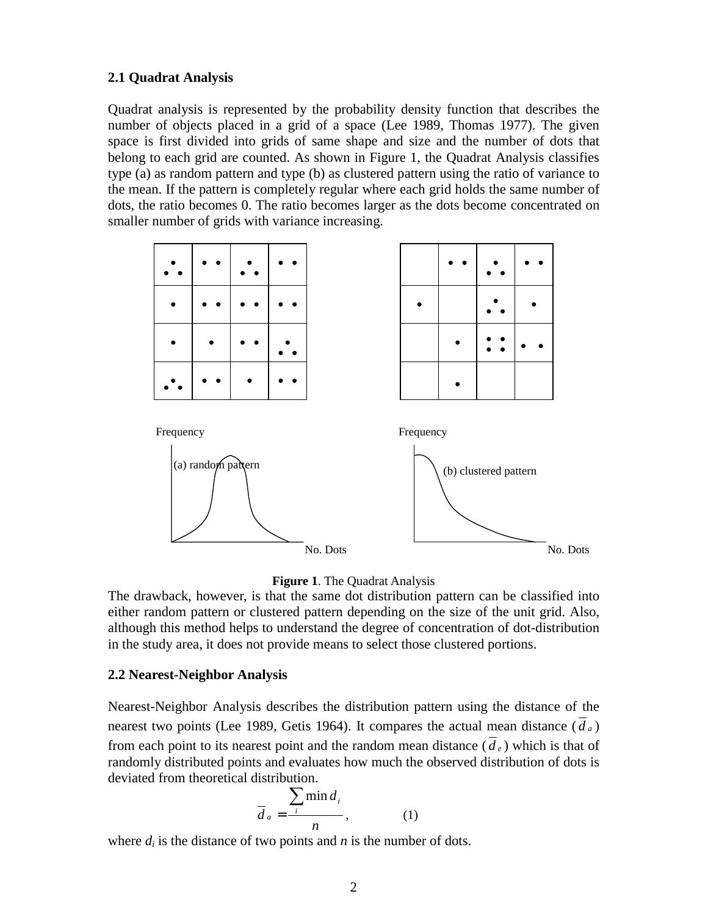## **2.1 Quadrat Analysis**

Quadrat analysis is represented by the probability density function that describes the number of objects placed in a grid of a space (Lee 1989, Thomas 1977). The given space is first divided into grids of same shape and size and the number of dots that belong to each grid are counted. As shown in Figure 1, the Quadrat Analysis classifies type (a) as random pattern and type (b) as clustered pattern using the ratio of variance to the mean. If the pattern is completely regular where each grid holds the same number of dots, the ratio becomes 0. The ratio becomes larger as the dots become concentrated on smaller number of grids with variance increasing.





The drawback, however, is that the same dot distribution pattern can be classified into either random pattern or clustered pattern depending on the size of the unit grid. Also, although this method helps to understand the degree of concentration of dot-distribution in the study area, it does not provide means to select those clustered portions.

### **2.2 Nearest-Neighbor Analysis**

Nearest-Neighbor Analysis describes the distribution pattern using the distance of the nearest two points (Lee 1989, Getis 1964). It compares the actual mean distance  $(d_a)$ from each point to its nearest point and the random mean distance  $(\overline{d}_e)$  which is that of randomly distributed points and evaluates how much the observed distribution of dots is deviated from theoretical distribution.

$$
\overline{d}_a = \frac{\sum_i \min d_i}{n}, \qquad (1)
$$

where  $d_i$  is the distance of two points and  $n$  is the number of dots.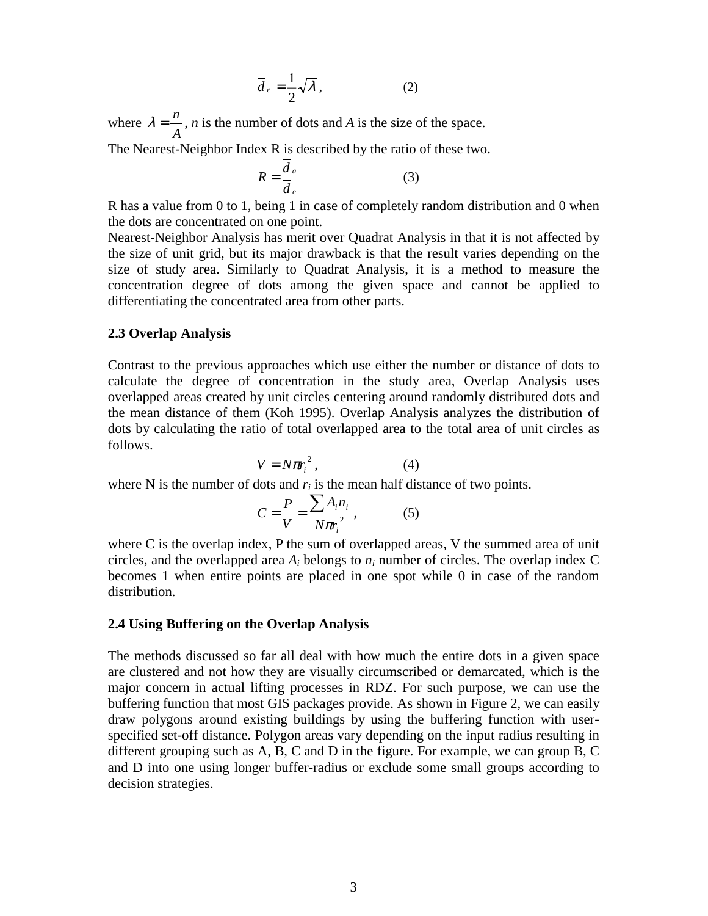$$
\overline{d}_e = \frac{1}{2}\sqrt{\lambda},\qquad(2)
$$

where *A*  $\lambda = \frac{n}{\lambda}$ , *n* is the number of dots and *A* is the size of the space.

The Nearest-Neighbor Index R is described by the ratio of these two.

$$
R = \frac{d_a}{\overline{d}_e} \tag{3}
$$

R has a value from 0 to 1, being 1 in case of completely random distribution and 0 when the dots are concentrated on one point.

Nearest-Neighbor Analysis has merit over Quadrat Analysis in that it is not affected by the size of unit grid, but its major drawback is that the result varies depending on the size of study area. Similarly to Quadrat Analysis, it is a method to measure the concentration degree of dots among the given space and cannot be applied to differentiating the concentrated area from other parts.

### **2.3 Overlap Analysis**

Contrast to the previous approaches which use either the number or distance of dots to calculate the degree of concentration in the study area, Overlap Analysis uses overlapped areas created by unit circles centering around randomly distributed dots and the mean distance of them (Koh 1995). Overlap Analysis analyzes the distribution of dots by calculating the ratio of total overlapped area to the total area of unit circles as follows.

$$
V = N \pi r_i^2, \tag{4}
$$

where N is the number of dots and  $r_i$  is the mean half distance of two points.

$$
C = \frac{P}{V} = \frac{\sum A_i n_i}{N \pi r_i^2},
$$
 (5)

where C is the overlap index, P the sum of overlapped areas, V the summed area of unit circles, and the overlapped area *Ai* belongs to *ni* number of circles. The overlap index C becomes 1 when entire points are placed in one spot while 0 in case of the random distribution.

#### **2.4 Using Buffering on the Overlap Analysis**

The methods discussed so far all deal with how much the entire dots in a given space are clustered and not how they are visually circumscribed or demarcated, which is the major concern in actual lifting processes in RDZ. For such purpose, we can use the buffering function that most GIS packages provide. As shown in Figure 2, we can easily draw polygons around existing buildings by using the buffering function with userspecified set-off distance. Polygon areas vary depending on the input radius resulting in different grouping such as A, B, C and D in the figure. For example, we can group B, C and D into one using longer buffer-radius or exclude some small groups according to decision strategies.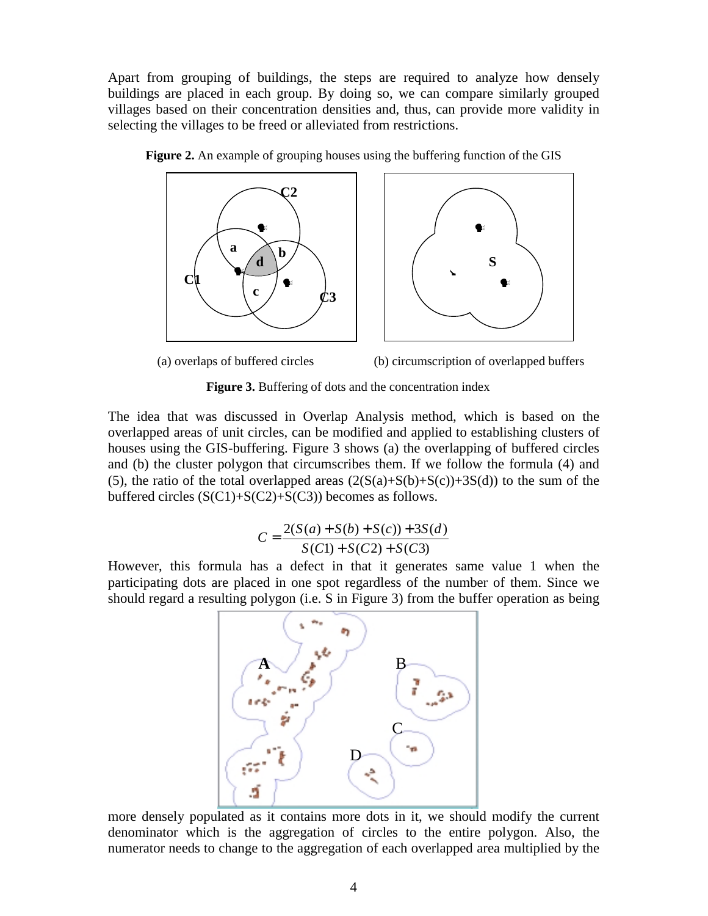Apart from grouping of buildings, the steps are required to analyze how densely buildings are placed in each group. By doing so, we can compare similarly grouped villages based on their concentration densities and, thus, can provide more validity in selecting the villages to be freed or alleviated from restrictions.





**Figure 2.** An example of grouping houses using the buffering function of the GIS



**Figure 3.** Buffering of dots and the concentration index

The idea that was discussed in Overlap Analysis method, which is based on the overlapped areas of unit circles, can be modified and applied to establishing clusters of houses using the GIS-buffering. Figure 3 shows (a) the overlapping of buffered circles and (b) the cluster polygon that circumscribes them. If we follow the formula (4) and (5), the ratio of the total overlapped areas  $(2(S(a)+S(b)+S(c))+3S(d))$  to the sum of the buffered circles  $(S(C1)+S(C2)+S(C3))$  becomes as follows.

$$
C = \frac{2(S(a) + S(b) + S(c)) + 3S(d)}{S(C1) + S(C2) + S(C3)}
$$

However, this formula has a defect in that it generates same value 1 when the participating dots are placed in one spot regardless of the number of them. Since we should regard a resulting polygon (i.e. S in Figure 3) from the buffer operation as being



more densely populated as it contains more dots in it, we should modify the current denominator which is the aggregation of circles to the entire polygon. Also, the numerator needs to change to the aggregation of each overlapped area multiplied by the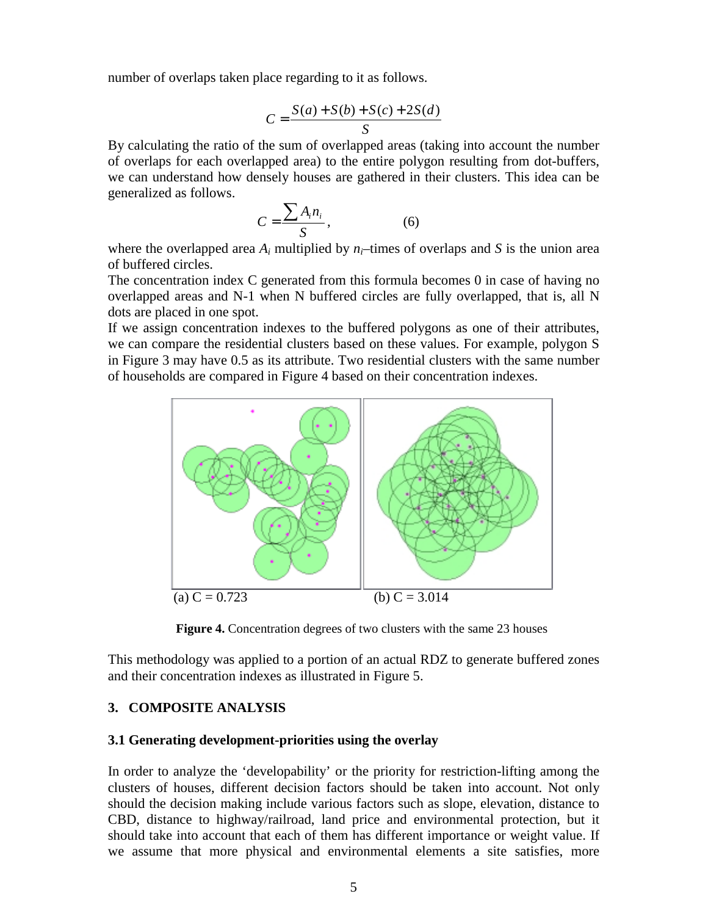number of overlaps taken place regarding to it as follows.

$$
C = \frac{S(a) + S(b) + S(c) + 2S(d)}{S}
$$

By calculating the ratio of the sum of overlapped areas (taking into account the number of overlaps for each overlapped area) to the entire polygon resulting from dot-buffers, we can understand how densely houses are gathered in their clusters. This idea can be generalized as follows.

$$
C = \frac{\sum A_i n_i}{S},
$$
 (6)

where the overlapped area  $A_i$  multiplied by  $n_i$ –times of overlaps and *S* is the union area of buffered circles.

The concentration index C generated from this formula becomes 0 in case of having no overlapped areas and N-1 when N buffered circles are fully overlapped, that is, all N dots are placed in one spot.

If we assign concentration indexes to the buffered polygons as one of their attributes, we can compare the residential clusters based on these values. For example, polygon S in Figure 3 may have 0.5 as its attribute. Two residential clusters with the same number of households are compared in Figure 4 based on their concentration indexes.



**Figure 4.** Concentration degrees of two clusters with the same 23 houses

This methodology was applied to a portion of an actual RDZ to generate buffered zones and their concentration indexes as illustrated in Figure 5.

# **3. COMPOSITE ANALYSIS**

#### **3.1 Generating development-priorities using the overlay**

In order to analyze the 'developability' or the priority for restriction-lifting among the clusters of houses, different decision factors should be taken into account. Not only should the decision making include various factors such as slope, elevation, distance to CBD, distance to highway/railroad, land price and environmental protection, but it should take into account that each of them has different importance or weight value. If we assume that more physical and environmental elements a site satisfies, more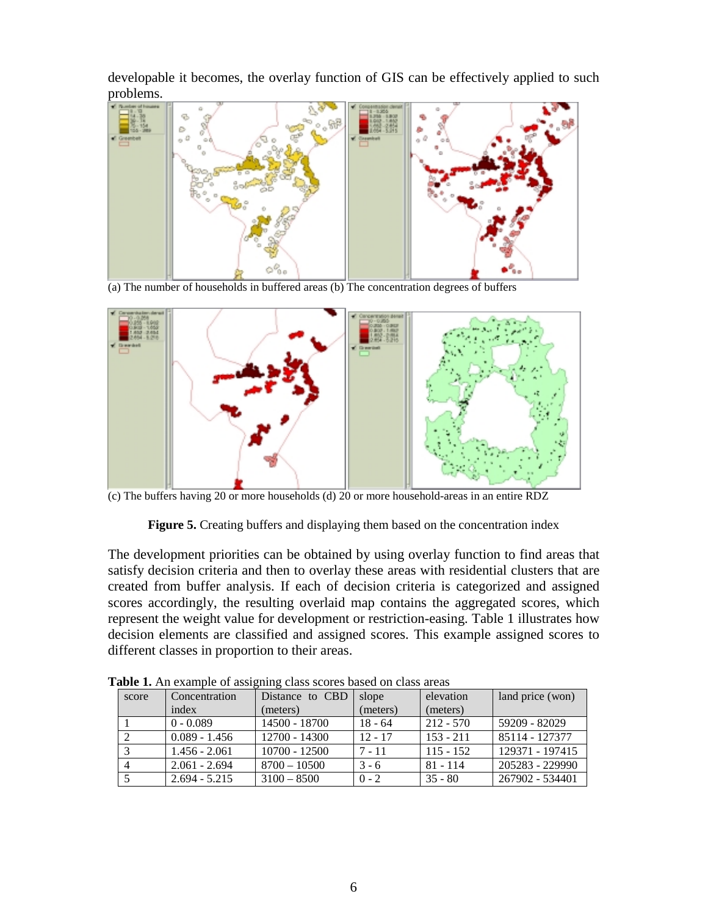developable it becomes, the overlay function of GIS can be effectively applied to such problems.



(a) The number of households in buffered areas  $(b)$  The concentration degrees of buffers



(c) The buffers having 20 or more households (d) 20 or more household-areas in an entire RDZ

**Figure 5.** Creating buffers and displaying them based on the concentration index

The development priorities can be obtained by using overlay function to find areas that satisfy decision criteria and then to overlay these areas with residential clusters that are created from buffer analysis. If each of decision criteria is categorized and assigned scores accordingly, the resulting overlaid map contains the aggregated scores, which represent the weight value for development or restriction-easing. Table 1 illustrates how decision elements are classified and assigned scores. This example assigned scores to different classes in proportion to their areas.

| score          | Concentration   | wore in the enample of aborgaing enable becreb cabell on enable areas<br>Distance to CBD | slope     | elevation   | land price (won) |
|----------------|-----------------|------------------------------------------------------------------------------------------|-----------|-------------|------------------|
|                | index           | (meters)                                                                                 | (meters)  | (meters)    |                  |
|                | $0 - 0.089$     | 14500 - 18700                                                                            | $18 - 64$ | $212 - 570$ | 59209 - 82029    |
|                | $0.089 - 1.456$ | $12700 - 14300$                                                                          | $12 - 17$ | $153 - 211$ | 85114 - 127377   |
|                | $1.456 - 2.061$ | $10700 - 12500$                                                                          | $7 - 11$  | $115 - 152$ | 129371 - 197415  |
| $\overline{4}$ | $2.061 - 2.694$ | $8700 - 10500$                                                                           | $3 - 6$   | $81 - 114$  | 205283 - 229990  |
|                | $2.694 - 5.215$ | $3100 - 8500$                                                                            | $0 - 2$   | $35 - 80$   | 267902 - 534401  |

**Table 1.** An example of assigning class scores based on class areas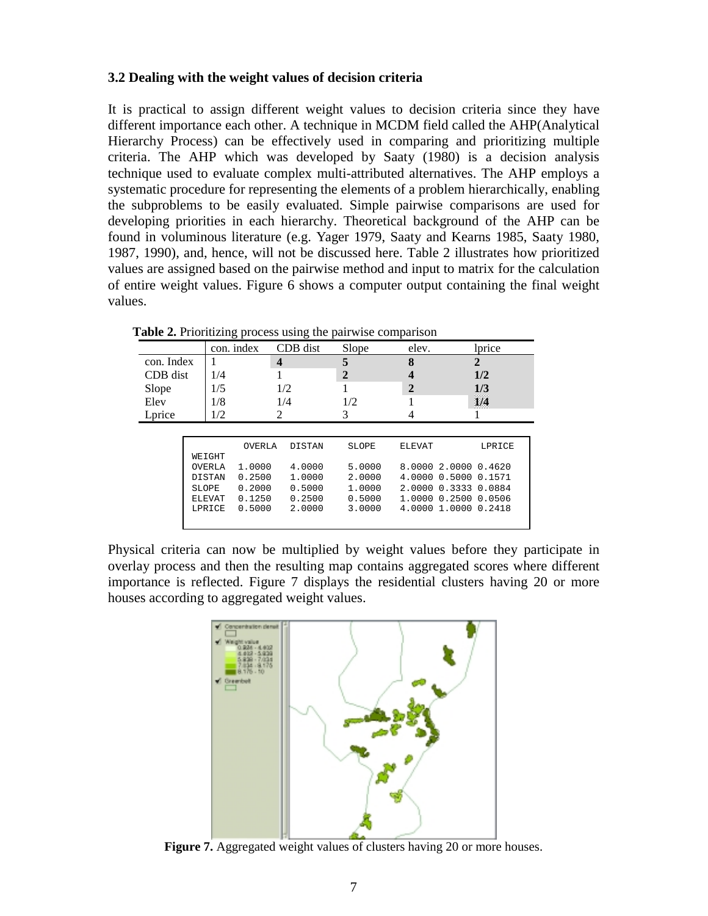## **3.2 Dealing with the weight values of decision criteria**

It is practical to assign different weight values to decision criteria since they have different importance each other. A technique in MCDM field called the AHP(Analytical Hierarchy Process) can be effectively used in comparing and prioritizing multiple criteria. The AHP which was developed by Saaty (1980) is a decision analysis technique used to evaluate complex multi-attributed alternatives. The AHP employs a systematic procedure for representing the elements of a problem hierarchically, enabling the subproblems to be easily evaluated. Simple pairwise comparisons are used for developing priorities in each hierarchy. Theoretical background of the AHP can be found in voluminous literature (e.g. Yager 1979, Saaty and Kearns 1985, Saaty 1980, 1987, 1990), and, hence, will not be discussed here. Table 2 illustrates how prioritized values are assigned based on the pairwise method and input to matrix for the calculation of entire weight values. Figure 6 shows a computer output containing the final weight values.

|            |               |               | con. index | CDB dist         | Slope  | elev.        | lprice                  |  |
|------------|---------------|---------------|------------|------------------|--------|--------------|-------------------------|--|
| con. Index |               |               |            | $\boldsymbol{4}$ |        | 8            | $\mathbf 2$             |  |
|            |               |               |            |                  |        |              |                         |  |
| CDB dist   |               | 1/4           |            |                  | 2      |              | 1/2                     |  |
| Slope      |               | 1/5           |            | 1/2              |        | $\mathbf{2}$ | 1/3                     |  |
| Elev       |               | 1/8           |            | 1/4              | 1/2    |              | 1/4                     |  |
| Lprice     |               | 1/2           |            | 2                | 3      |              |                         |  |
|            |               |               |            |                  |        |              |                         |  |
|            |               |               | OVERLA     | <b>DISTAN</b>    | SLOPE  | ELEVAT       | LPRICE                  |  |
|            |               | WEIGHT        |            |                  |        |              |                         |  |
|            | <b>OVERLA</b> |               | 1,0000     | 4.0000           | 5.0000 |              | 8.0000 2.0000 0.4620    |  |
|            |               | <b>DISTAN</b> | 0.2500     | 1,0000           | 2.0000 |              | 4.0000 0.5000 0.1571    |  |
|            |               | SLOPE         | 0.2000     | 0.5000           | 1,0000 |              | 2.0000 0.3333 0.0884    |  |
|            |               | ELEVAT        | 0.1250     | 0.2500           | 0.5000 |              | 1.0000 0.2500<br>0.0506 |  |
|            |               | LPRICE        | 0.5000     | 2.0000           | 3,0000 |              | 4.0000 1.0000 0.2418    |  |

**Table 2.** Prioritizing process using the pairwise comparison

Physical criteria can now be multiplied by weight values before they participate in overlay process and then the resulting map contains aggregated scores where different importance is reflected. Figure 7 displays the residential clusters having 20 or more houses according to aggregated weight values.



**Figure 7.** Aggregated weight values of clusters having 20 or more houses.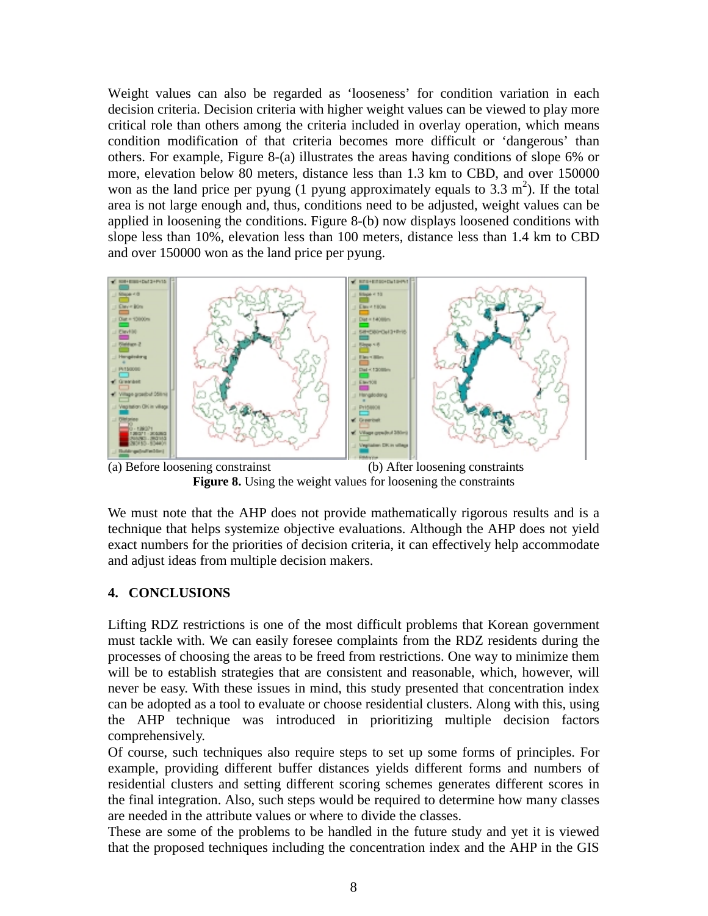Weight values can also be regarded as 'looseness' for condition variation in each decision criteria. Decision criteria with higher weight values can be viewed to play more critical role than others among the criteria included in overlay operation, which means condition modification of that criteria becomes more difficult or 'dangerous' than others. For example, Figure 8-(a) illustrates the areas having conditions of slope 6% or more, elevation below 80 meters, distance less than 1.3 km to CBD, and over 150000 won as the land price per pyung (1 pyung approximately equals to 3.3  $m^2$ ). If the total area is not large enough and, thus, conditions need to be adjusted, weight values can be applied in loosening the conditions. Figure 8-(b) now displays loosened conditions with slope less than 10%, elevation less than 100 meters, distance less than 1.4 km to CBD and over 150000 won as the land price per pyung.



(a) Before loosening constrainst (b) After loosening constraints **Figure 8.** Using the weight values for loosening the constraints

We must note that the AHP does not provide mathematically rigorous results and is a technique that helps systemize objective evaluations. Although the AHP does not yield exact numbers for the priorities of decision criteria, it can effectively help accommodate and adjust ideas from multiple decision makers.

# **4. CONCLUSIONS**

Lifting RDZ restrictions is one of the most difficult problems that Korean government must tackle with. We can easily foresee complaints from the RDZ residents during the processes of choosing the areas to be freed from restrictions. One way to minimize them will be to establish strategies that are consistent and reasonable, which, however, will never be easy. With these issues in mind, this study presented that concentration index can be adopted as a tool to evaluate or choose residential clusters. Along with this, using the AHP technique was introduced in prioritizing multiple decision factors comprehensively.

Of course, such techniques also require steps to set up some forms of principles. For example, providing different buffer distances yields different forms and numbers of residential clusters and setting different scoring schemes generates different scores in the final integration. Also, such steps would be required to determine how many classes are needed in the attribute values or where to divide the classes.

These are some of the problems to be handled in the future study and yet it is viewed that the proposed techniques including the concentration index and the AHP in the GIS